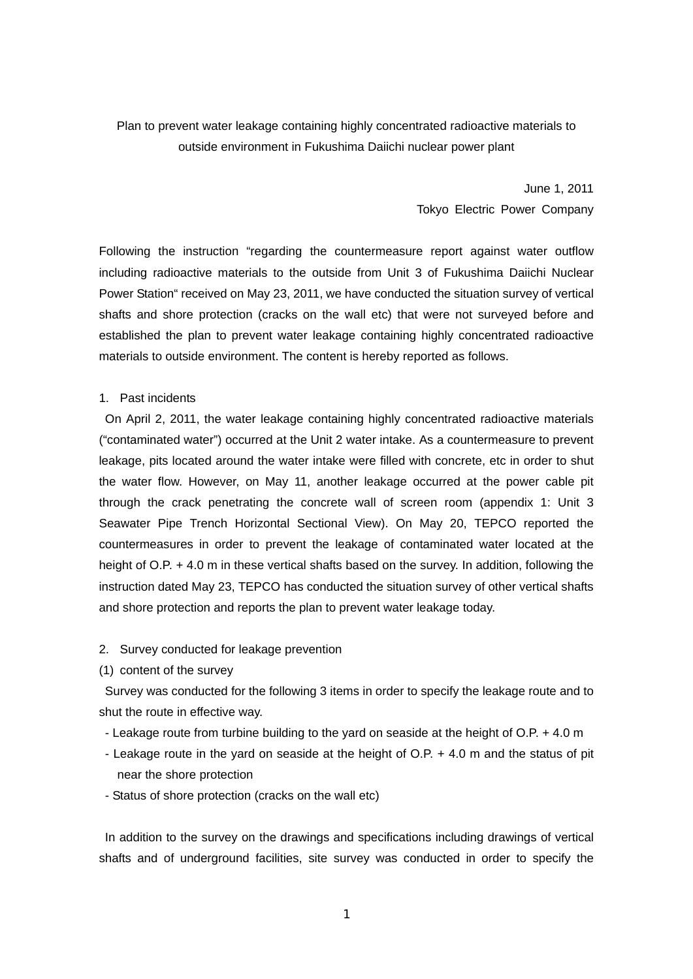## Plan to prevent water leakage containing highly concentrated radioactive materials to outside environment in Fukushima Daiichi nuclear power plant

June 1, 2011 Tokyo Electric Power Company

Following the instruction "regarding the countermeasure report against water outflow including radioactive materials to the outside from Unit 3 of Fukushima Daiichi Nuclear Power Station" received on May 23, 2011, we have conducted the situation survey of vertical shafts and shore protection (cracks on the wall etc) that were not surveyed before and established the plan to prevent water leakage containing highly concentrated radioactive materials to outside environment. The content is hereby reported as follows.

#### 1. Past incidents

 On April 2, 2011, the water leakage containing highly concentrated radioactive materials ("contaminated water") occurred at the Unit 2 water intake. As a countermeasure to prevent leakage, pits located around the water intake were filled with concrete, etc in order to shut the water flow. However, on May 11, another leakage occurred at the power cable pit through the crack penetrating the concrete wall of screen room (appendix 1: Unit 3 Seawater Pipe Trench Horizontal Sectional View). On May 20, TEPCO reported the countermeasures in order to prevent the leakage of contaminated water located at the height of O.P. + 4.0 m in these vertical shafts based on the survey. In addition, following the instruction dated May 23, TEPCO has conducted the situation survey of other vertical shafts and shore protection and reports the plan to prevent water leakage today.

#### 2. Survey conducted for leakage prevention

(1) content of the survey

 Survey was conducted for the following 3 items in order to specify the leakage route and to shut the route in effective way.

- Leakage route from turbine building to the yard on seaside at the height of O.P. + 4.0 m
- Leakage route in the yard on seaside at the height of O.P. + 4.0 m and the status of pit near the shore protection
- Status of shore protection (cracks on the wall etc)

In addition to the survey on the drawings and specifications including drawings of vertical shafts and of underground facilities, site survey was conducted in order to specify the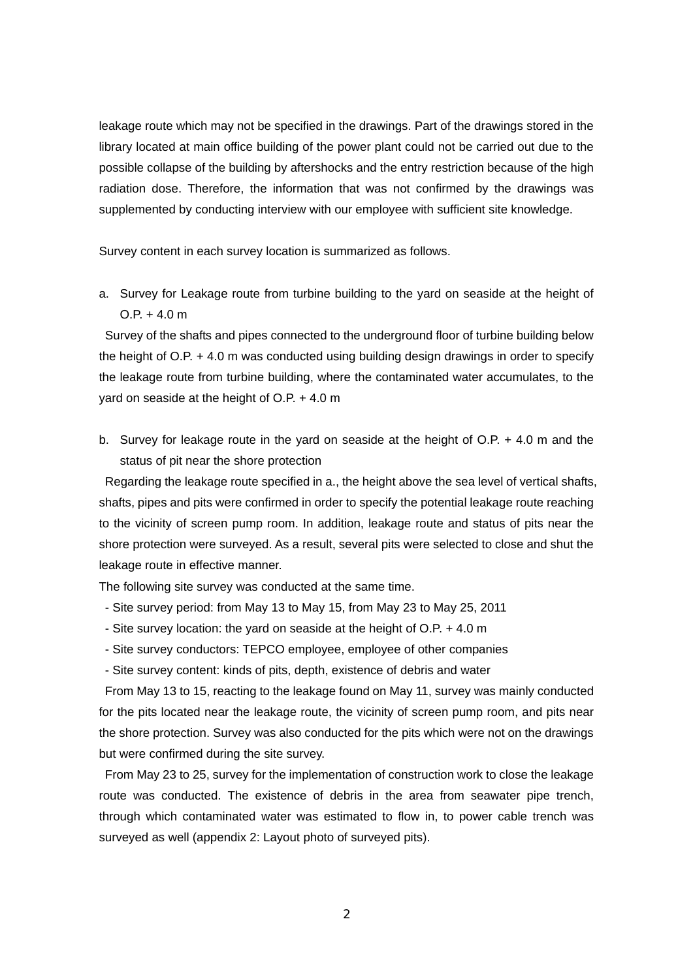leakage route which may not be specified in the drawings. Part of the drawings stored in the library located at main office building of the power plant could not be carried out due to the possible collapse of the building by aftershocks and the entry restriction because of the high radiation dose. Therefore, the information that was not confirmed by the drawings was supplemented by conducting interview with our employee with sufficient site knowledge.

Survey content in each survey location is summarized as follows.

a. Survey for Leakage route from turbine building to the yard on seaside at the height of  $OP + 4.0 m$ 

Survey of the shafts and pipes connected to the underground floor of turbine building below the height of O.P. + 4.0 m was conducted using building design drawings in order to specify the leakage route from turbine building, where the contaminated water accumulates, to the yard on seaside at the height of O.P. + 4.0 m

b. Survey for leakage route in the yard on seaside at the height of O.P. + 4.0 m and the status of pit near the shore protection

Regarding the leakage route specified in a., the height above the sea level of vertical shafts, shafts, pipes and pits were confirmed in order to specify the potential leakage route reaching to the vicinity of screen pump room. In addition, leakage route and status of pits near the shore protection were surveyed. As a result, several pits were selected to close and shut the leakage route in effective manner.

The following site survey was conducted at the same time.

- Site survey period: from May 13 to May 15, from May 23 to May 25, 2011
- Site survey location: the yard on seaside at the height of O.P. + 4.0 m
- Site survey conductors: TEPCO employee, employee of other companies
- Site survey content: kinds of pits, depth, existence of debris and water

From May 13 to 15, reacting to the leakage found on May 11, survey was mainly conducted for the pits located near the leakage route, the vicinity of screen pump room, and pits near the shore protection. Survey was also conducted for the pits which were not on the drawings but were confirmed during the site survey.

From May 23 to 25, survey for the implementation of construction work to close the leakage route was conducted. The existence of debris in the area from seawater pipe trench, through which contaminated water was estimated to flow in, to power cable trench was surveyed as well (appendix 2: Layout photo of surveyed pits).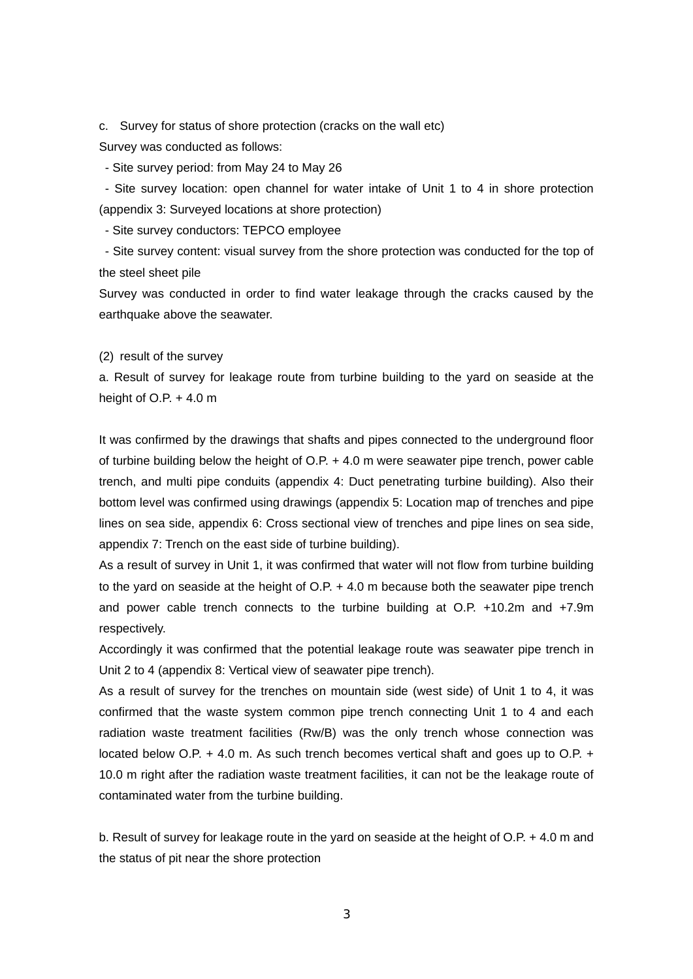c. Survey for status of shore protection (cracks on the wall etc)

Survey was conducted as follows:

- Site survey period: from May 24 to May 26

 - Site survey location: open channel for water intake of Unit 1 to 4 in shore protection (appendix 3: Surveyed locations at shore protection)

- Site survey conductors: TEPCO employee

 - Site survey content: visual survey from the shore protection was conducted for the top of the steel sheet pile

Survey was conducted in order to find water leakage through the cracks caused by the earthquake above the seawater.

(2) result of the survey

a. Result of survey for leakage route from turbine building to the yard on seaside at the height of  $O.P. + 4.0 m$ 

It was confirmed by the drawings that shafts and pipes connected to the underground floor of turbine building below the height of O.P. + 4.0 m were seawater pipe trench, power cable trench, and multi pipe conduits (appendix 4: Duct penetrating turbine building). Also their bottom level was confirmed using drawings (appendix 5: Location map of trenches and pipe lines on sea side, appendix 6: Cross sectional view of trenches and pipe lines on sea side, appendix 7: Trench on the east side of turbine building).

As a result of survey in Unit 1, it was confirmed that water will not flow from turbine building to the yard on seaside at the height of O.P. + 4.0 m because both the seawater pipe trench and power cable trench connects to the turbine building at O.P. +10.2m and +7.9m respectively.

Accordingly it was confirmed that the potential leakage route was seawater pipe trench in Unit 2 to 4 (appendix 8: Vertical view of seawater pipe trench).

As a result of survey for the trenches on mountain side (west side) of Unit 1 to 4, it was confirmed that the waste system common pipe trench connecting Unit 1 to 4 and each radiation waste treatment facilities (Rw/B) was the only trench whose connection was located below O.P. + 4.0 m. As such trench becomes vertical shaft and goes up to O.P. + 10.0 m right after the radiation waste treatment facilities, it can not be the leakage route of contaminated water from the turbine building.

b. Result of survey for leakage route in the yard on seaside at the height of O.P. + 4.0 m and the status of pit near the shore protection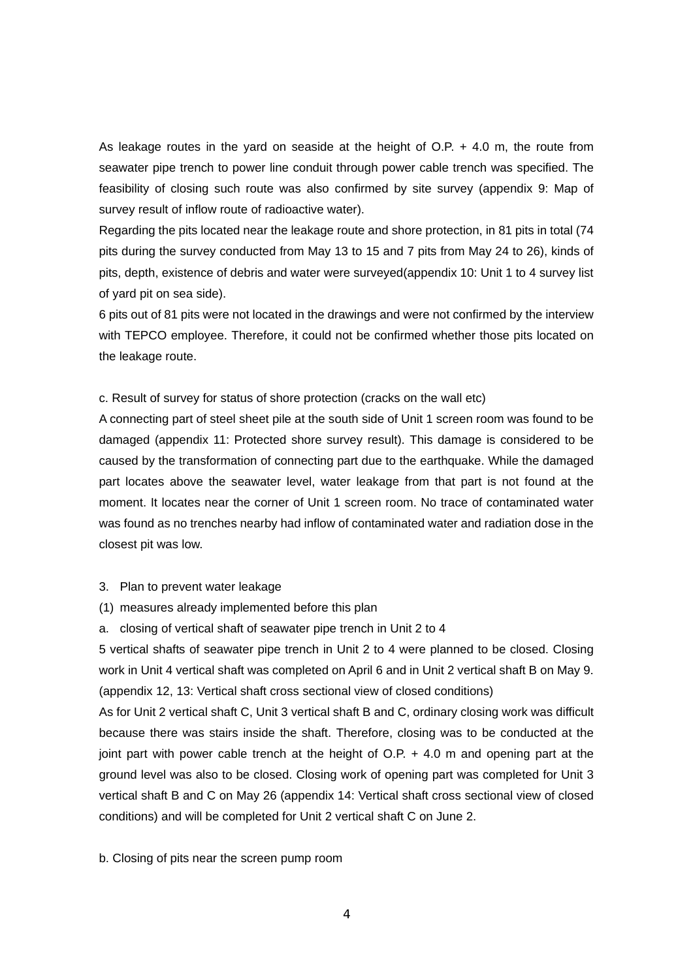As leakage routes in the yard on seaside at the height of O.P. + 4.0 m, the route from seawater pipe trench to power line conduit through power cable trench was specified. The feasibility of closing such route was also confirmed by site survey (appendix 9: Map of survey result of inflow route of radioactive water).

Regarding the pits located near the leakage route and shore protection, in 81 pits in total (74 pits during the survey conducted from May 13 to 15 and 7 pits from May 24 to 26), kinds of pits, depth, existence of debris and water were surveyed(appendix 10: Unit 1 to 4 survey list of yard pit on sea side).

6 pits out of 81 pits were not located in the drawings and were not confirmed by the interview with TEPCO employee. Therefore, it could not be confirmed whether those pits located on the leakage route.

c. Result of survey for status of shore protection (cracks on the wall etc)

A connecting part of steel sheet pile at the south side of Unit 1 screen room was found to be damaged (appendix 11: Protected shore survey result). This damage is considered to be caused by the transformation of connecting part due to the earthquake. While the damaged part locates above the seawater level, water leakage from that part is not found at the moment. It locates near the corner of Unit 1 screen room. No trace of contaminated water was found as no trenches nearby had inflow of contaminated water and radiation dose in the closest pit was low.

3. Plan to prevent water leakage

(1) measures already implemented before this plan

a. closing of vertical shaft of seawater pipe trench in Unit 2 to 4

5 vertical shafts of seawater pipe trench in Unit 2 to 4 were planned to be closed. Closing work in Unit 4 vertical shaft was completed on April 6 and in Unit 2 vertical shaft B on May 9. (appendix 12, 13: Vertical shaft cross sectional view of closed conditions)

As for Unit 2 vertical shaft C, Unit 3 vertical shaft B and C, ordinary closing work was difficult because there was stairs inside the shaft. Therefore, closing was to be conducted at the joint part with power cable trench at the height of O.P. + 4.0 m and opening part at the ground level was also to be closed. Closing work of opening part was completed for Unit 3 vertical shaft B and C on May 26 (appendix 14: Vertical shaft cross sectional view of closed conditions) and will be completed for Unit 2 vertical shaft C on June 2.

b. Closing of pits near the screen pump room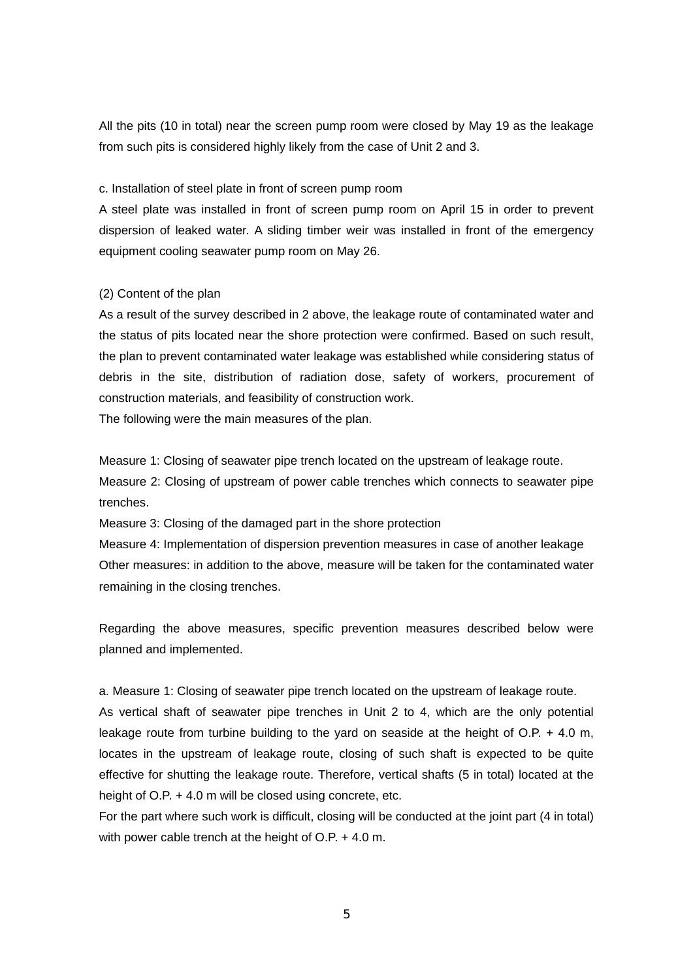All the pits (10 in total) near the screen pump room were closed by May 19 as the leakage from such pits is considered highly likely from the case of Unit 2 and 3.

c. Installation of steel plate in front of screen pump room

A steel plate was installed in front of screen pump room on April 15 in order to prevent dispersion of leaked water. A sliding timber weir was installed in front of the emergency equipment cooling seawater pump room on May 26.

### (2) Content of the plan

As a result of the survey described in 2 above, the leakage route of contaminated water and the status of pits located near the shore protection were confirmed. Based on such result, the plan to prevent contaminated water leakage was established while considering status of debris in the site, distribution of radiation dose, safety of workers, procurement of construction materials, and feasibility of construction work.

The following were the main measures of the plan.

Measure 1: Closing of seawater pipe trench located on the upstream of leakage route. Measure 2: Closing of upstream of power cable trenches which connects to seawater pipe trenches.

Measure 3: Closing of the damaged part in the shore protection

Measure 4: Implementation of dispersion prevention measures in case of another leakage Other measures: in addition to the above, measure will be taken for the contaminated water remaining in the closing trenches.

Regarding the above measures, specific prevention measures described below were planned and implemented.

a. Measure 1: Closing of seawater pipe trench located on the upstream of leakage route. As vertical shaft of seawater pipe trenches in Unit 2 to 4, which are the only potential leakage route from turbine building to the yard on seaside at the height of  $O.P. + 4.0$  m, locates in the upstream of leakage route, closing of such shaft is expected to be quite

effective for shutting the leakage route. Therefore, vertical shafts (5 in total) located at the height of O.P. + 4.0 m will be closed using concrete, etc.

For the part where such work is difficult, closing will be conducted at the joint part (4 in total) with power cable trench at the height of O.P. + 4.0 m.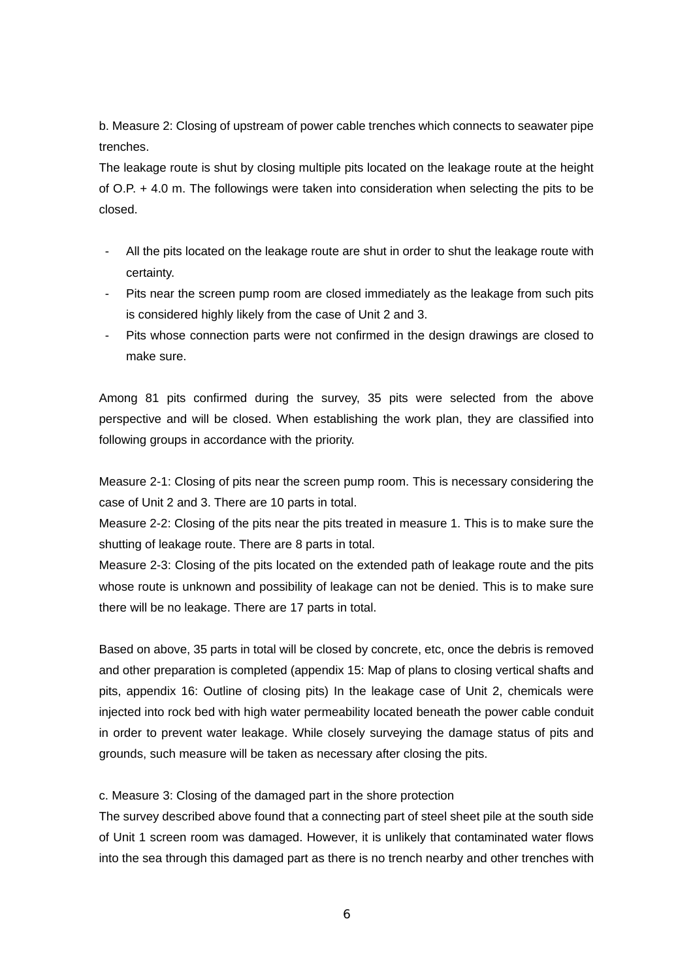b. Measure 2: Closing of upstream of power cable trenches which connects to seawater pipe trenches.

The leakage route is shut by closing multiple pits located on the leakage route at the height of O.P. + 4.0 m. The followings were taken into consideration when selecting the pits to be closed.

- All the pits located on the leakage route are shut in order to shut the leakage route with certainty.
- Pits near the screen pump room are closed immediately as the leakage from such pits is considered highly likely from the case of Unit 2 and 3.
- Pits whose connection parts were not confirmed in the design drawings are closed to make sure.

Among 81 pits confirmed during the survey, 35 pits were selected from the above perspective and will be closed. When establishing the work plan, they are classified into following groups in accordance with the priority.

Measure 2-1: Closing of pits near the screen pump room. This is necessary considering the case of Unit 2 and 3. There are 10 parts in total.

Measure 2-2: Closing of the pits near the pits treated in measure 1. This is to make sure the shutting of leakage route. There are 8 parts in total.

Measure 2-3: Closing of the pits located on the extended path of leakage route and the pits whose route is unknown and possibility of leakage can not be denied. This is to make sure there will be no leakage. There are 17 parts in total.

Based on above, 35 parts in total will be closed by concrete, etc, once the debris is removed and other preparation is completed (appendix 15: Map of plans to closing vertical shafts and pits, appendix 16: Outline of closing pits) In the leakage case of Unit 2, chemicals were injected into rock bed with high water permeability located beneath the power cable conduit in order to prevent water leakage. While closely surveying the damage status of pits and grounds, such measure will be taken as necessary after closing the pits.

c. Measure 3: Closing of the damaged part in the shore protection

The survey described above found that a connecting part of steel sheet pile at the south side of Unit 1 screen room was damaged. However, it is unlikely that contaminated water flows into the sea through this damaged part as there is no trench nearby and other trenches with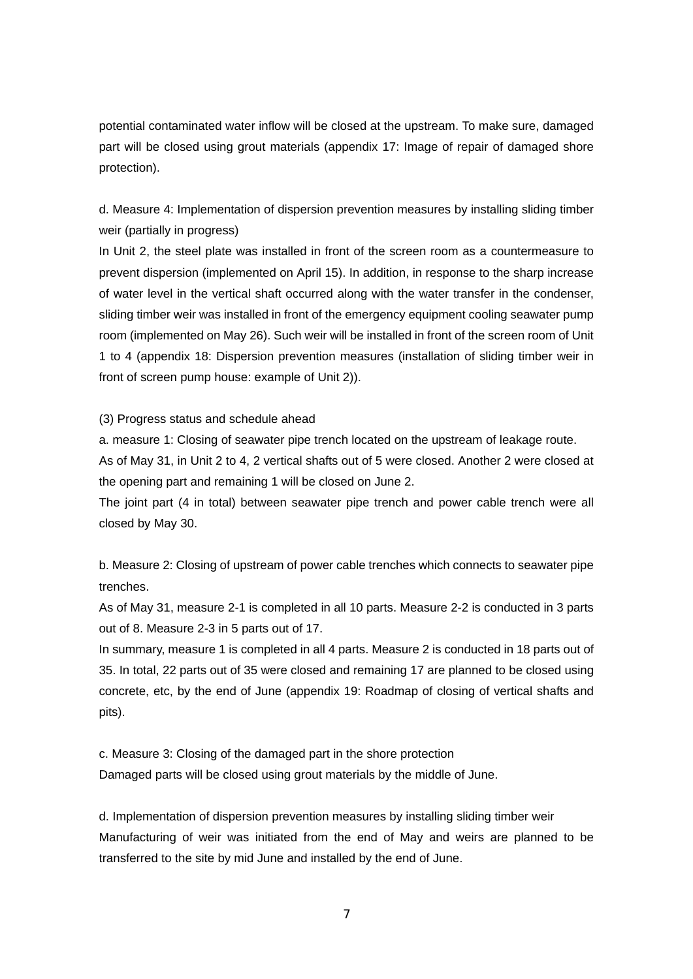potential contaminated water inflow will be closed at the upstream. To make sure, damaged part will be closed using grout materials (appendix 17: Image of repair of damaged shore protection).

d. Measure 4: Implementation of dispersion prevention measures by installing sliding timber weir (partially in progress)

In Unit 2, the steel plate was installed in front of the screen room as a countermeasure to prevent dispersion (implemented on April 15). In addition, in response to the sharp increase of water level in the vertical shaft occurred along with the water transfer in the condenser, sliding timber weir was installed in front of the emergency equipment cooling seawater pump room (implemented on May 26). Such weir will be installed in front of the screen room of Unit 1 to 4 (appendix 18: Dispersion prevention measures (installation of sliding timber weir in front of screen pump house: example of Unit 2)).

(3) Progress status and schedule ahead

a. measure 1: Closing of seawater pipe trench located on the upstream of leakage route.

As of May 31, in Unit 2 to 4, 2 vertical shafts out of 5 were closed. Another 2 were closed at the opening part and remaining 1 will be closed on June 2.

The joint part (4 in total) between seawater pipe trench and power cable trench were all closed by May 30.

b. Measure 2: Closing of upstream of power cable trenches which connects to seawater pipe trenches.

As of May 31, measure 2-1 is completed in all 10 parts. Measure 2-2 is conducted in 3 parts out of 8. Measure 2-3 in 5 parts out of 17.

In summary, measure 1 is completed in all 4 parts. Measure 2 is conducted in 18 parts out of 35. In total, 22 parts out of 35 were closed and remaining 17 are planned to be closed using concrete, etc, by the end of June (appendix 19: Roadmap of closing of vertical shafts and pits).

c. Measure 3: Closing of the damaged part in the shore protection Damaged parts will be closed using grout materials by the middle of June.

d. Implementation of dispersion prevention measures by installing sliding timber weir Manufacturing of weir was initiated from the end of May and weirs are planned to be transferred to the site by mid June and installed by the end of June.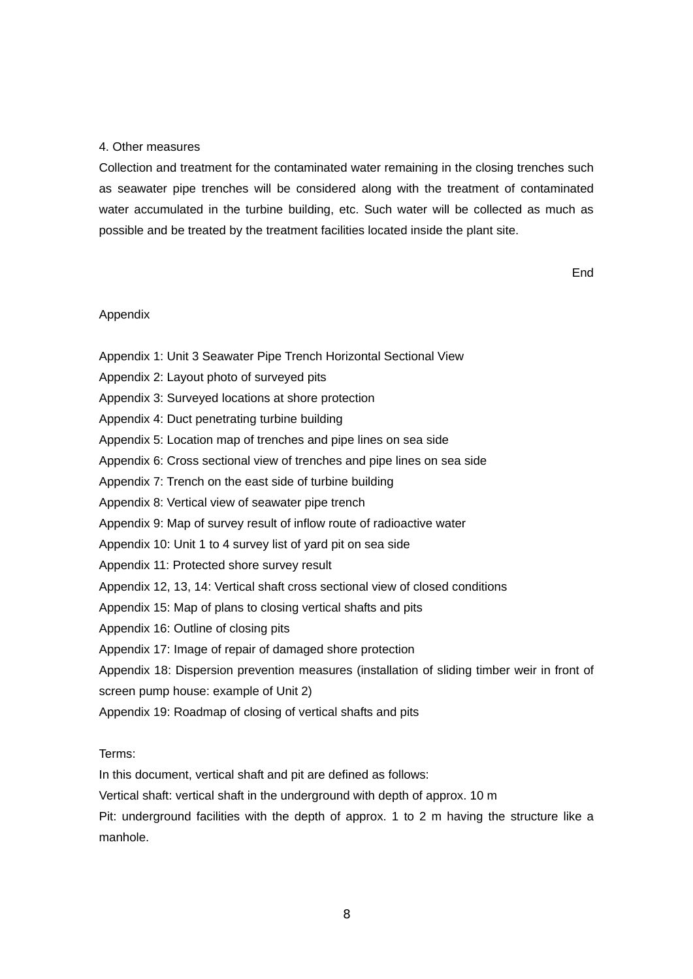#### 4. Other measures

Collection and treatment for the contaminated water remaining in the closing trenches such as seawater pipe trenches will be considered along with the treatment of contaminated water accumulated in the turbine building, etc. Such water will be collected as much as possible and be treated by the treatment facilities located inside the plant site.

**End** 

### Appendix

- Appendix 1: Unit 3 Seawater Pipe Trench Horizontal Sectional View
- Appendix 2: Layout photo of surveyed pits
- Appendix 3: Surveyed locations at shore protection
- Appendix 4: Duct penetrating turbine building
- Appendix 5: Location map of trenches and pipe lines on sea side
- Appendix 6: Cross sectional view of trenches and pipe lines on sea side
- Appendix 7: Trench on the east side of turbine building
- Appendix 8: Vertical view of seawater pipe trench
- Appendix 9: Map of survey result of inflow route of radioactive water
- Appendix 10: Unit 1 to 4 survey list of yard pit on sea side
- Appendix 11: Protected shore survey result
- Appendix 12, 13, 14: Vertical shaft cross sectional view of closed conditions
- Appendix 15: Map of plans to closing vertical shafts and pits
- Appendix 16: Outline of closing pits
- Appendix 17: Image of repair of damaged shore protection
- Appendix 18: Dispersion prevention measures (installation of sliding timber weir in front of
- screen pump house: example of Unit 2)
- Appendix 19: Roadmap of closing of vertical shafts and pits

#### Terms:

In this document, vertical shaft and pit are defined as follows:

Vertical shaft: vertical shaft in the underground with depth of approx. 10 m

Pit: underground facilities with the depth of approx. 1 to 2 m having the structure like a manhole.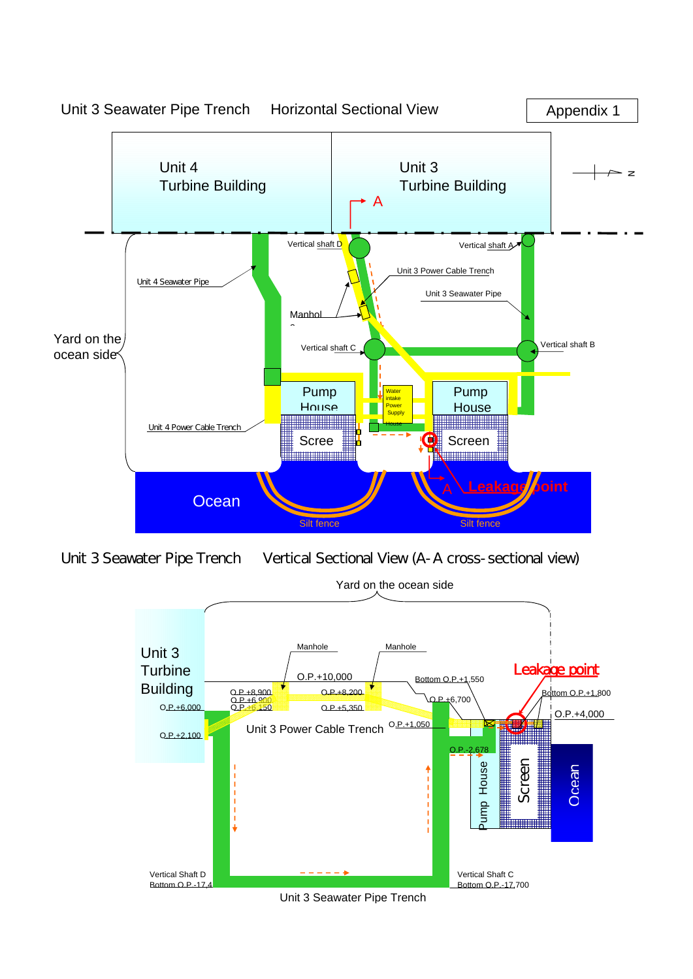

Unit 3 Seawater Pipe Trench Vertical Sectional View (A-A cross-sectional view)

Yard on the ocean side



Unit 3 Seawater Pipe Trench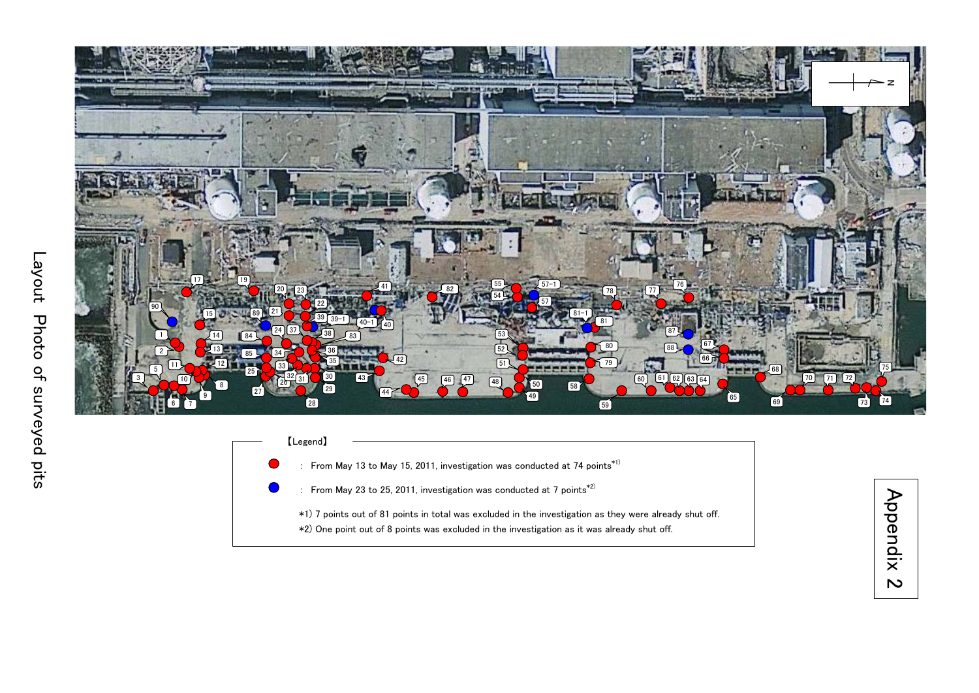

 【Legend】 : From May 13 to May 15, 2011, investigation was conducted at 74 points<sup>\*1)</sup> : From May 23 to 25, 2011, investigation was conducted at 7 points $^{*2)}$ \*1) 7 points out of 81 points in total was excluded in the investigation as they were already shut off. \*2) One point out of 8 points was excluded in the investigation as it was already shut off.

Appendix 2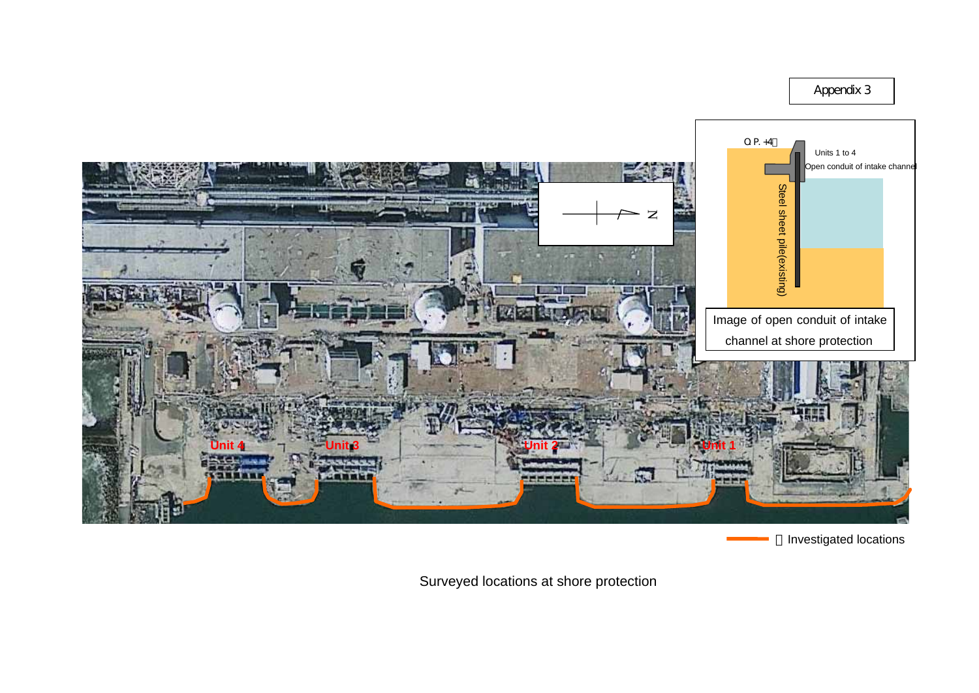Appendix 3



Investigated locations

Surveyed locations at shore protection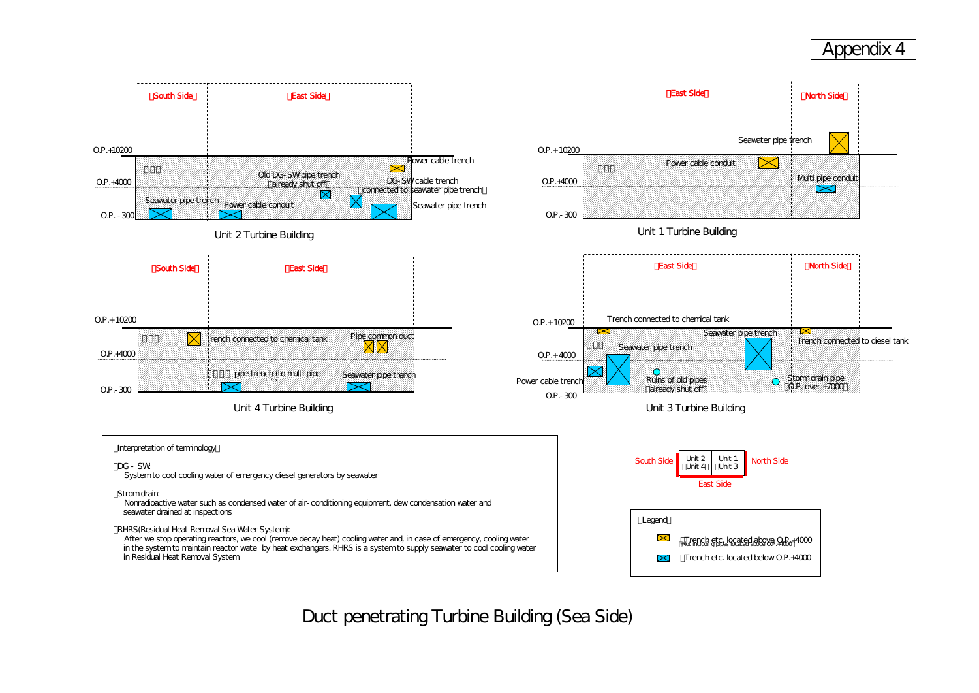Duct penetrating Turbine Building (Sea Side)



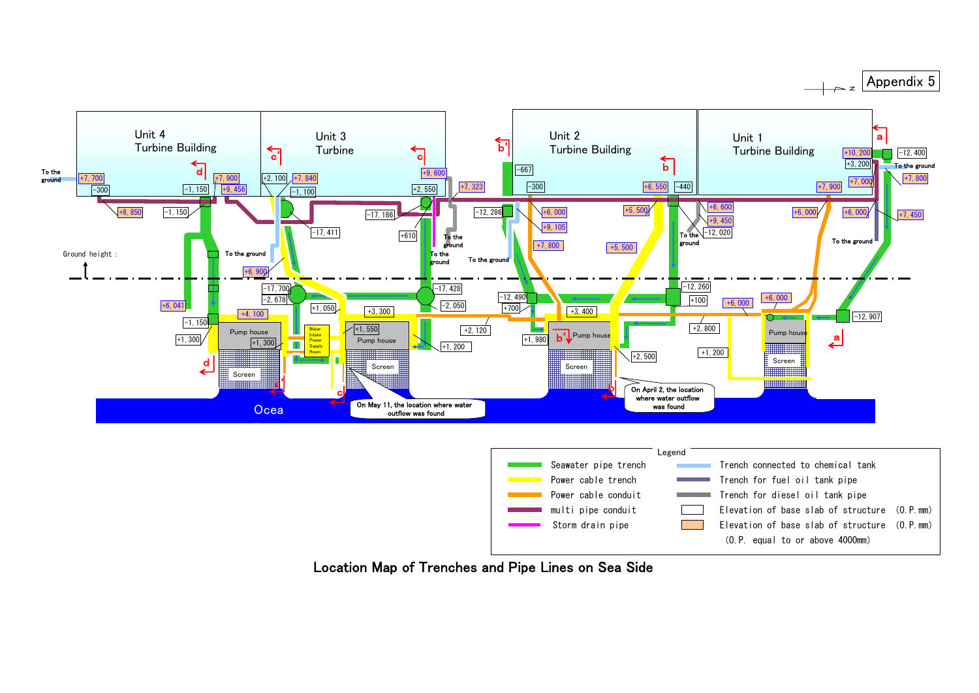| rench connected to chemical tank            |  |
|---------------------------------------------|--|
| rench for fuel oil tank pipe                |  |
| rench for diesel oil tank pipe              |  |
| levation of base slab of structure (O.P.mm) |  |
| levation of base slab of structure (O.P.mm) |  |
| (O.P. equal to or above 4000mm)             |  |
|                                             |  |



Location Map of Trenches and Pipe Lines on Sea Side

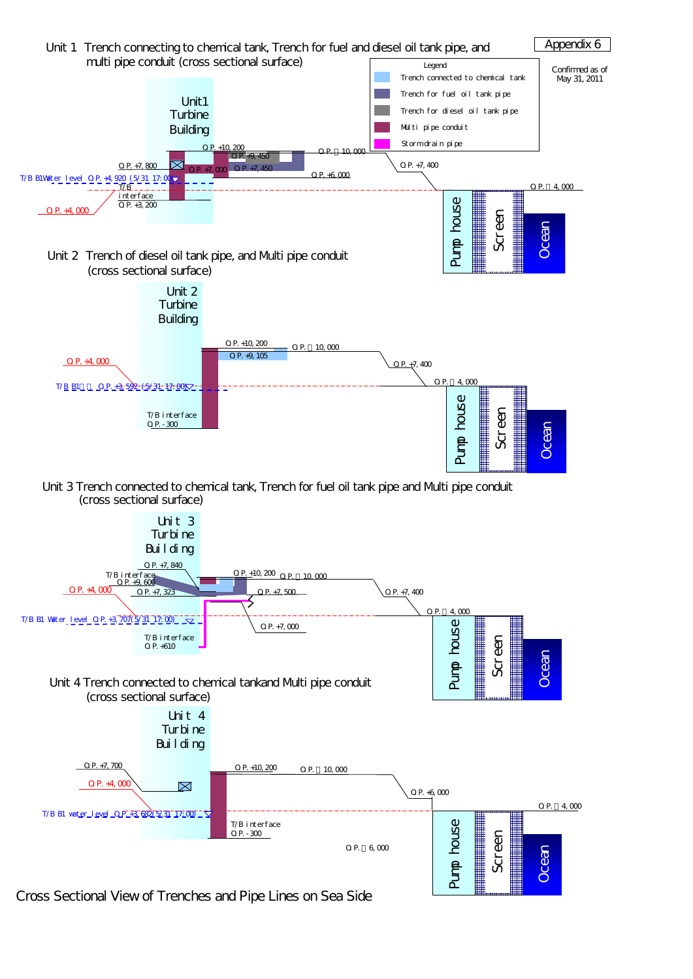

Cross Sectional View of Trenches and Pipe Lines on Sea Side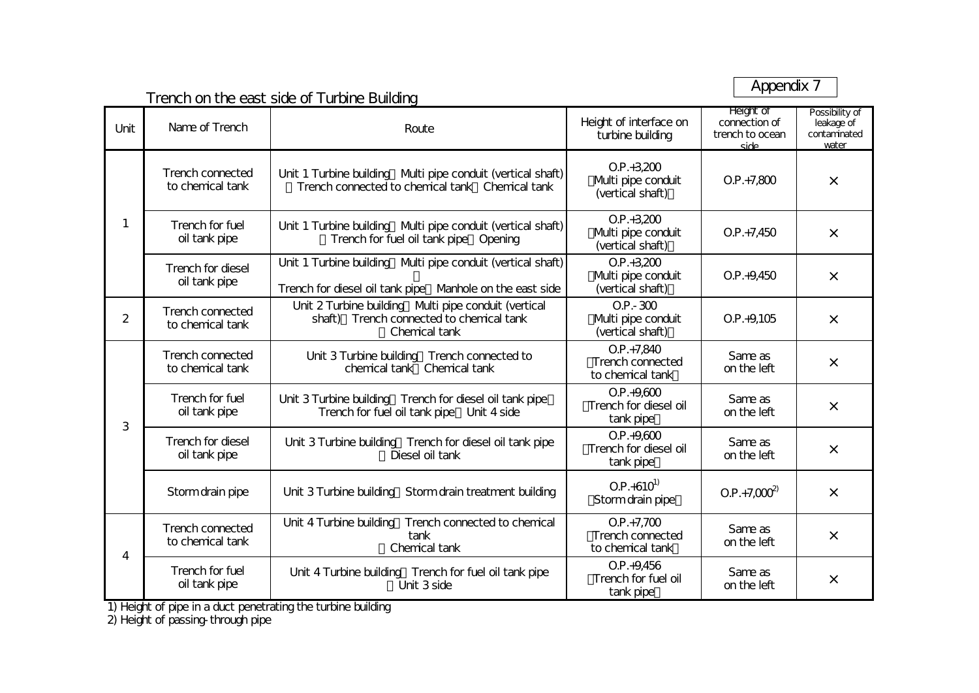Appendix 7

#### Trench on the east side of Turbine Building Unit Name of Trench Route Route Route Route Route Route Relation interface on turbine building Height of connection oftrench to oceansidePossibility of leakage of contaminatedwaterUnit 1 Turbine building Multi pipe conduit (vertical shaft) ~Trench connected to chemical tank~Chemical tankO.P.+3,200 Multi pipe conduit (vertical shaft))  $O.P.+7,800$   $\times$ Unit 1 Turbine building Multi pipe conduit (vertical shaft) Trench for fuel oil tank pipe Opening  $O.P. + 3,200$ (Multi pipe conduit (vertical shaft))  $O.P.+7.45O$   $\times$ Unit 1 Turbine building Multi pipe conduit (vertical shaft) Trench for diesel oil tank pipe~Manhole on the east side  $O.P.+3,200$ Multi pipe conduit (vertical shaft))  $O.P. +9.45O$   $\times$  $\mathfrak{D}$ Unit 2 Turbine building Multi pipe conduit (vertical shaft)~Trench connected to chemical tank ~Chemical tank $O.P.-300$ (Multi pipe conduit (vertical shaft))  $O.P. +9.105$   $\times$ Unit 3 Turbine building Trench connected to chemical tank~Chemical tank $OP + 7,840$ (Trench connectedto chemical tank)Same ason the left <sup>×</sup> Unit 3 Turbine building Trench for diesel oil tank pipe Trench for fuel oil tank pipe~Unit 4 side  $O.P. +9.600$ (Trench for diesel oiltank pipe) Same ason the left  $\qquad \qquad \times$ Unit 3 Turbine building Trench for diesel oil tank pipe Diesel oil tank  $OP + 9.600$ (Trench for diesel oiltank pipe) Same as on the left  $\qquad \qquad \times$ Unit 3 Turbine building Storm drain treatment building  $\begin{bmatrix} 0.1 & . & . & . \ 0.1 & . & . & . & . \ 0.1 & . & . & . & . \end{bmatrix}$  O.P.+7,000<sup>2</sup>  $\rightarrow$  × Unit 4 Turbine building Trench connected to chemical tank~Chemical tankO.P.+7,700 (Trench connectedto chemical tank)Same ason the left $\mathbf{H}$   $\mathbf{X}$ Unit 4 Turbine building~Trench for fuel oil tank pipe ~Unit 3 side $O.P. +9.456$ (Trench for fuel oil tank pipe) Same as on the left $\mathbf{H}$   $\mathbf{X}$ Trench connectedto chemical tankName of TrenchTrench for dieseloil tank pipe Trench for fueloil tank pipe Trench connectedto chemical tankTrench connectedto chemical tankTrench for fuel oil tank pipe Trench for dieseloil tank pipe Trench connectedto chemical tankTrench for fuel oil tank pipe 14Storm drain pipe 3

1) Height of pipe in a duct penetrating the turbine building

2) Height of passing-through pipe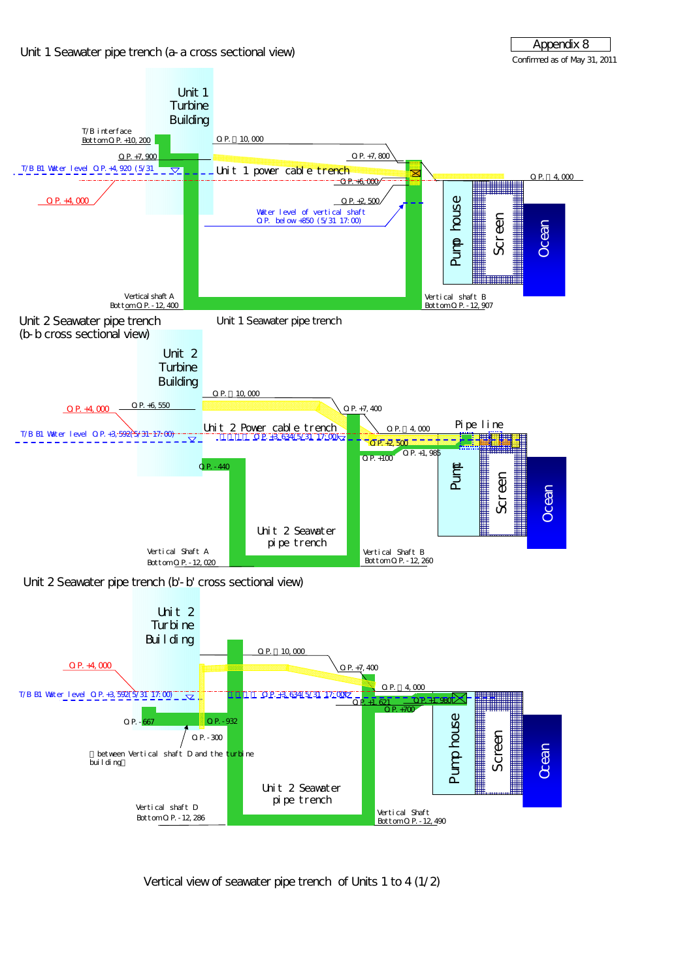



Vertical view of seawater pipe trench of Units 1 to 4 (1/2)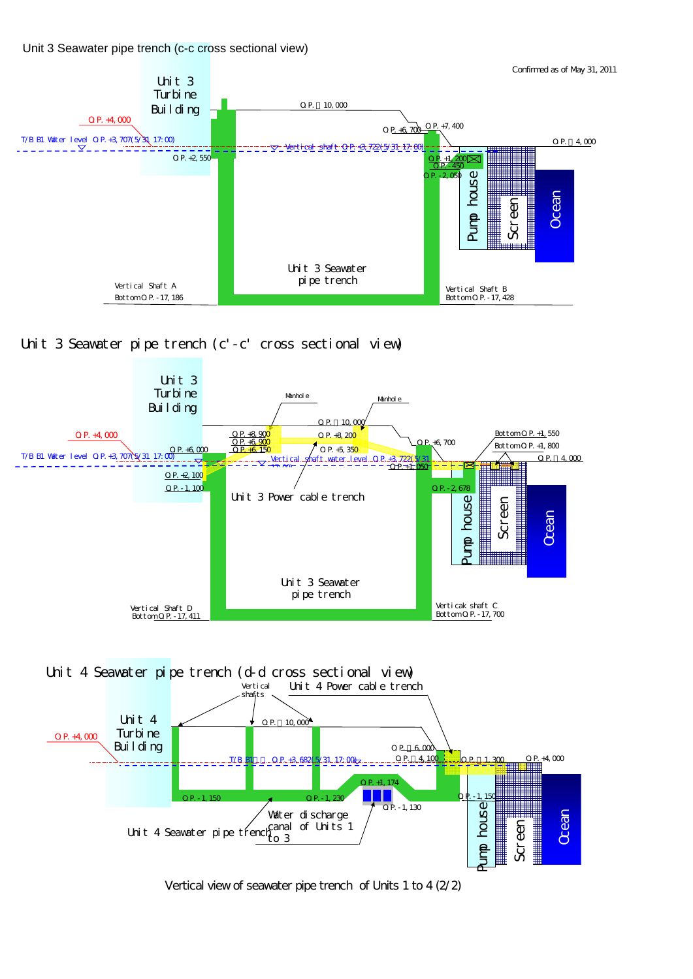Unit 3 Seawater pipe trench (c-c cross sectional view)

Confirmed as of May 31, 2011



### Unit 3 Seawater pipe trench (c'-c' cross sectional view)



Vertical view of seawater pipe trench of Units 1 to 4 (2/2)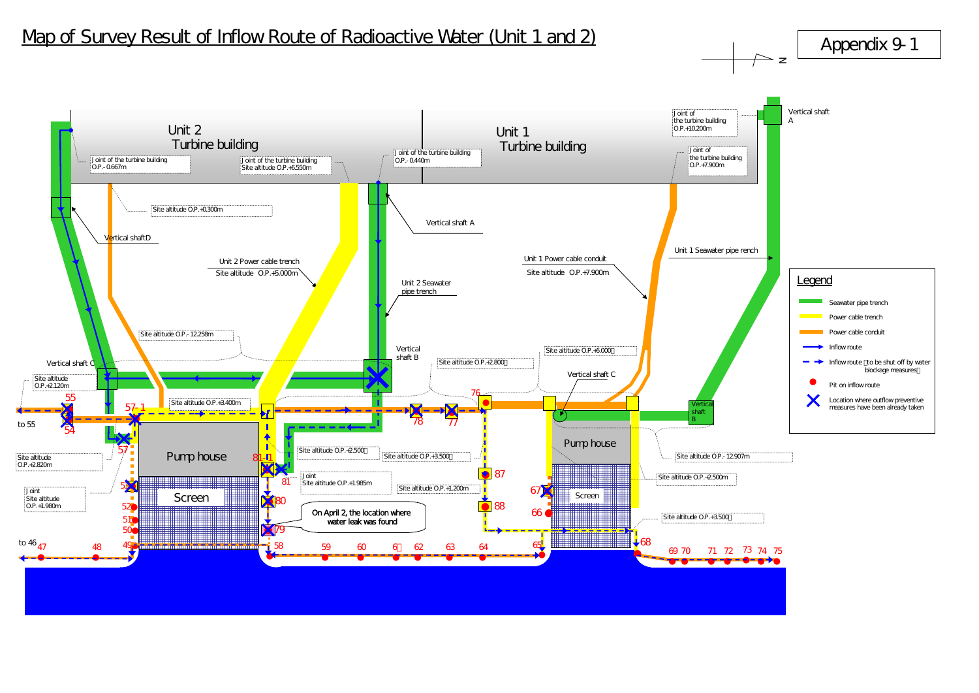## Map of Survey Result of Inflow Route of Radioactive Water (Unit 1 and 2)

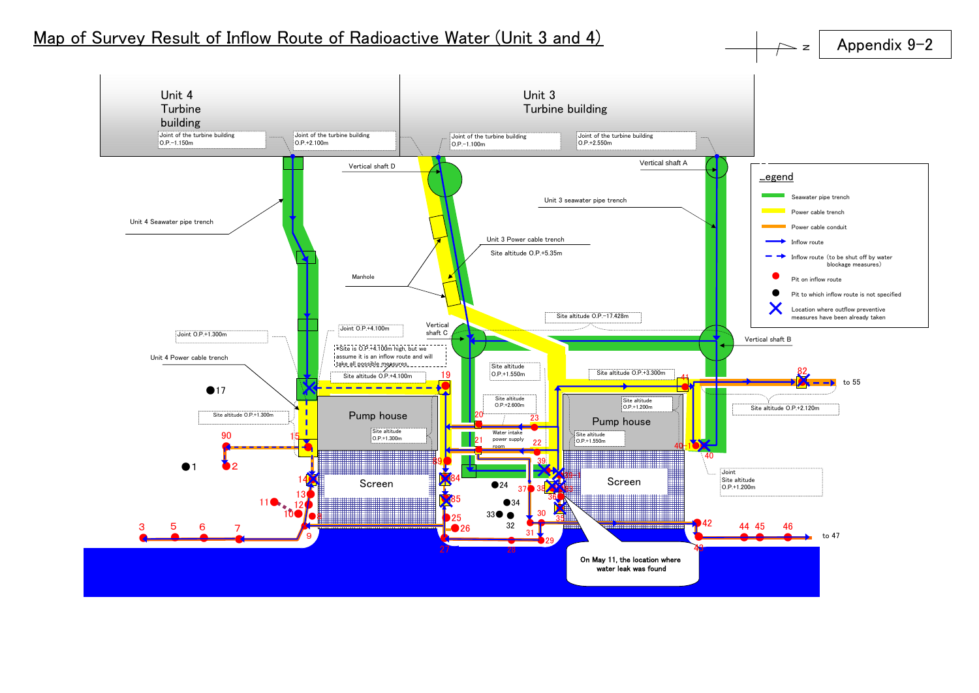## Map of Survey Result of Inflow Route of Radioactive Water (Unit 3 and 4)





 $\geq$  z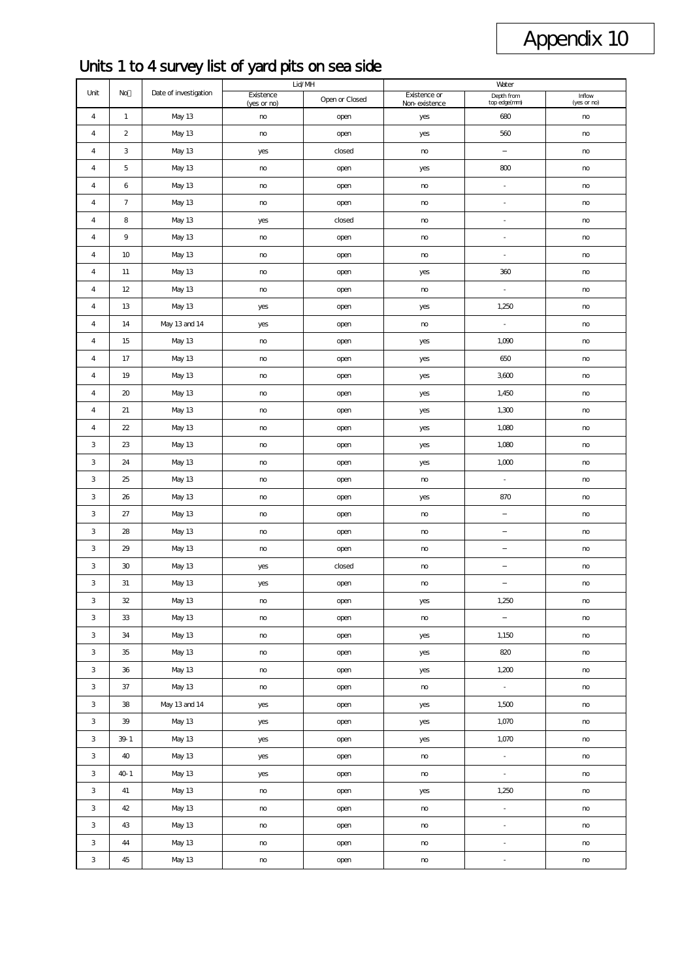## Appendix 10

## Units 1 to 4 survey list of yard pits on sea side

|                         |                |                       |                          | Lid/MH         |                               | Water                      |                       |  |  |
|-------------------------|----------------|-----------------------|--------------------------|----------------|-------------------------------|----------------------------|-----------------------|--|--|
| Unit                    | No             | Date of investigation | Existence<br>(yes or no) | Open or Closed | Existence or<br>Non-existence | Depth from<br>top edge(mm) | Inflow<br>(yes or no) |  |  |
| 4                       | $\mathbf{1}$   | <b>May 13</b>         | no                       | open           | yes                           | 680                        | no                    |  |  |
| 4                       | $\overline{2}$ | <b>May 13</b>         | $\mathsf{no}$            | open           | yes                           | 560                        | $\mathsf{no}$         |  |  |
| 4                       | 3              | <b>May 13</b>         | yes                      | closed         | no                            |                            | no                    |  |  |
| 4                       | 5              | <b>May 13</b>         | no                       | open           | yes                           | 800                        | no                    |  |  |
| $\overline{4}$          | 6              | <b>May 13</b>         | no                       | open           | $\mathsf{no}$                 | $\overline{\phantom{a}}$   | no                    |  |  |
| 4                       | $\overline{7}$ | <b>May 13</b>         | no                       | open           | $\mathsf{no}$                 | ÷,                         | no                    |  |  |
| $\pmb{4}$               | 8              | <b>May 13</b>         | yes                      | closed         | $\mathsf{no}$                 | $\blacksquare$             | no                    |  |  |
| $\overline{\mathbf{4}}$ | 9              | <b>May 13</b>         | no                       | open           | no                            | $\overline{\phantom{a}}$   | $\mathsf{no}$         |  |  |
| 4                       | 10             | <b>May 13</b>         | no                       | open           | $\mathsf{no}$                 | $\overline{\phantom{a}}$   | no                    |  |  |
| 4                       | 11             | <b>May 13</b>         | no                       | open           | yes                           | 360                        | no                    |  |  |
| 4                       | 12             | <b>May 13</b>         | $\mathsf{no}$            | open           | $\mathsf{no}$                 | $\overline{\phantom{a}}$   | no                    |  |  |
| 4                       | 13             | <b>May 13</b>         | yes                      | open           | yes                           | 1,250                      | $\mathsf{no}$         |  |  |
| 4                       | 14             | May 13 and 14         | yes                      | open           | $\mathsf{no}$                 | $\overline{\phantom{a}}$   | no                    |  |  |
| 4                       | 15             | <b>May 13</b>         | $\mathsf{no}$            | open           | yes                           | 1,090                      | no                    |  |  |
| 4                       | 17             | <b>May 13</b>         | $\mathsf{no}$            | open           | yes                           | 650                        | no                    |  |  |
| 4                       | 19             | <b>May 13</b>         | no                       | open           | yes                           | 3600                       | no                    |  |  |
| 4                       | 20             | <b>May 13</b>         | no                       | open           | yes                           | 1,450                      | no                    |  |  |
| 4                       | 21             | <b>May 13</b>         | no                       | open           | yes                           | 1,300                      | no                    |  |  |
| 4                       | 22             | <b>May 13</b>         | no                       | open           | yes                           | 1,080                      | no                    |  |  |
| 3                       | 23             | <b>May 13</b>         | no                       | open           | yes                           | 1,080                      | no                    |  |  |
| 3                       | 24             | <b>May 13</b>         | no                       | open           | yes                           | 1,000                      | no                    |  |  |
| 3                       | 25             | <b>May 13</b>         | no                       | open           | $\mathsf{no}$                 | ÷,                         | no                    |  |  |
| 3                       | 26             | <b>May 13</b>         | $\mathsf{no}$            | open           | yes                           | 870                        | $\mathsf{no}$         |  |  |
| 3                       | 27             | May 13                | no                       | open           | no                            |                            | no                    |  |  |
| 3                       | 28             | <b>May 13</b>         | $\mathsf{no}$            | open           | no                            |                            | $\mathsf{no}$         |  |  |
| 3                       | 29             | <b>May 13</b>         | no                       | open           | $\mathsf{no}$                 |                            | no                    |  |  |
| 3                       | 30             | <b>May 13</b>         | yes                      | closed         | no                            |                            | $\mathsf{no}$         |  |  |
| 3                       | 31             | <b>May 13</b>         | yes                      | open           | $\mathsf{no}$                 |                            | no                    |  |  |
| 3                       | 32             | <b>May 13</b>         | no                       | open           | yes                           | 1,250                      | no                    |  |  |
| 3                       | 33             | <b>May 13</b>         | no                       | open           | $\mathsf{no}$                 |                            | no                    |  |  |
| 3                       | 34             | <b>May 13</b>         | $\mathsf{no}$            | open           | yes                           | 1,150                      | no                    |  |  |
| 3                       | 35             | <b>May 13</b>         | no                       | open           | yes                           | 820                        | no                    |  |  |
| 3                       | 36             | <b>May 13</b>         | $\mathsf{no}$            | open           | yes                           | 1,200                      | no                    |  |  |
| 3                       | 37             | <b>May 13</b>         | $\mathsf{no}$            | open           | no                            | $\Box$                     | no                    |  |  |
| 3                       | 38             | May 13 and 14         | yes                      | open           | yes                           | 1,500                      | $\mathsf{no}$         |  |  |
| 3                       | 39             | <b>May 13</b>         | yes                      | open           | yes                           | 1,070                      | $\mathsf{no}$         |  |  |
| 3                       | 39-1           | <b>May 13</b>         | yes                      | open           | yes                           | 1,070                      | no                    |  |  |
| 3                       | 40             | <b>May 13</b>         | yes                      | open           | no                            | $\Box$                     | no                    |  |  |
| 3                       | 40-1           | <b>May 13</b>         | yes                      | open           | no                            | ä,                         | no                    |  |  |
| 3                       | 41             | May 13                | $\mathsf{no}$            | open           | yes                           | 1,250                      | no                    |  |  |
| 3                       | 42             | May 13                | no                       | open           | no                            | ä,                         | no                    |  |  |
| 3                       | 43             | <b>May 13</b>         | $\mathsf{no}$            | open           | no                            | $\overline{\phantom{a}}$   | no                    |  |  |
| 3                       | 44             | May 13                | no                       | open           | no                            | $\blacksquare$             | no                    |  |  |
| 3                       | 45             | <b>May 13</b>         | no                       | open           | no                            | $\overline{\phantom{a}}$   | no                    |  |  |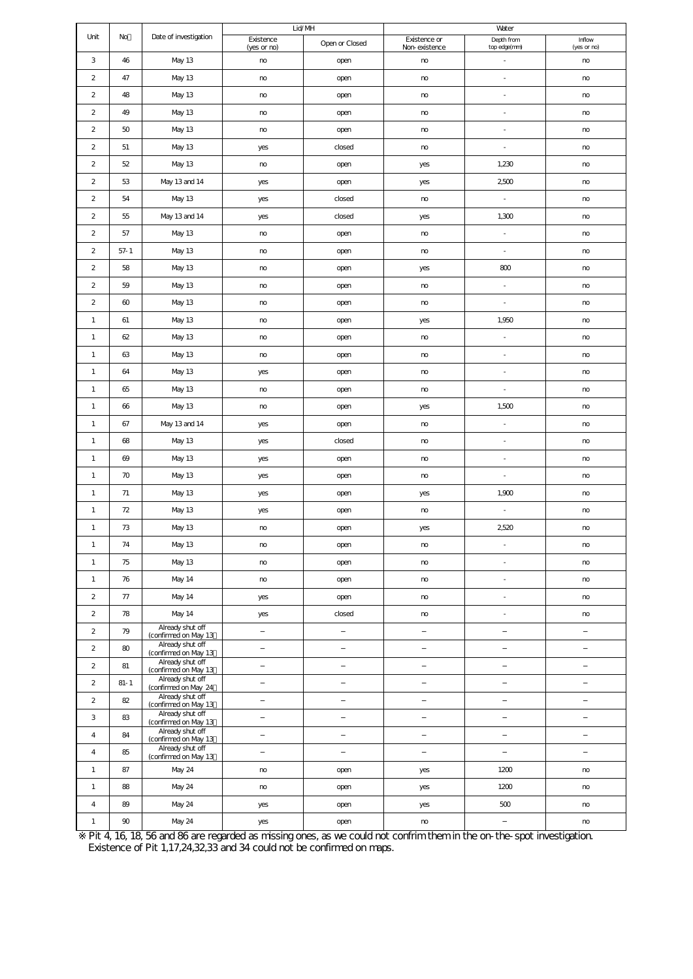|                         |          |                                          |                          | Lid/MH         |               | Water                      |                       |  |
|-------------------------|----------|------------------------------------------|--------------------------|----------------|---------------|----------------------------|-----------------------|--|
| Unit                    | No       | Date of investigation                    | Existence<br>(yes or no) | Open or Closed |               | Depth from<br>top edge(mm) | Inflow<br>(yes or no) |  |
| 3                       | 46       | <b>May 13</b>                            | no                       | open           |               | ÷,                         | no                    |  |
| $\overline{2}$          | 47       | <b>May 13</b>                            | no                       | open           | no            | ä,                         | no                    |  |
| $\overline{2}$          | 48       | <b>May 13</b>                            | no                       | open           | $\mathsf{no}$ | $\blacksquare$             | no                    |  |
| $\overline{2}$          | 49       | May 13                                   | no                       | open           | no            | ä,                         | no                    |  |
| $\mathbf 2$             | 50       | <b>May 13</b>                            | no                       | open           | $\mathsf{no}$ | ä,                         | no                    |  |
| $\overline{\mathbf{c}}$ | 51       | <b>May 13</b>                            | yes                      | closed         | $\mathsf{no}$ | ä,                         | no                    |  |
| $\overline{\mathbf{c}}$ | 52       | <b>May 13</b>                            | no                       | open           | yes           | 1,230                      | no                    |  |
| $\mathbf 2$             | 53       | May 13 and 14                            | yes                      | open           | yes           | 2500                       | $\mathsf{no}$         |  |
| $\mathbf 2$             | 54       | <b>May 13</b>                            | yes                      | closed         | $\mathsf{no}$ | $\blacksquare$             | $\mathsf{no}$         |  |
| $\overline{\mathbf{c}}$ | 55       | May 13 and 14                            | yes                      | closed         | yes           | 1,300                      | $\mathsf{no}$         |  |
| $\mathbf 2$             | 57       | <b>May 13</b>                            | no                       | open           | no            | ÷,                         | no                    |  |
| $\overline{2}$          | $57 - 1$ | <b>May 13</b>                            | $\mathsf{no}$            | open           | $\mathsf{no}$ | $\blacksquare$             | no                    |  |
| $\overline{2}$          | 58       | <b>May 13</b>                            | $\mathsf{no}$            | open           | yes           | 800                        | no                    |  |
| $\overline{2}$          | 59       | <b>May 13</b>                            | $\mathsf{no}$            | open           | $\mathsf{no}$ | $\blacksquare$             | no                    |  |
| $\overline{2}$          | 60       | <b>May 13</b>                            | $\mathsf{no}$            | open           | $\mathsf{no}$ | ÷,                         | no                    |  |
| $\mathbf{1}$            | 61       | <b>May 13</b>                            | no                       | open           | yes           | 1,950                      | $\mathsf{no}$         |  |
| $\mathbf{1}$            | 62       | <b>May 13</b>                            | no                       | open           | no            | $\overline{\phantom{a}}$   | $\mathsf{no}$         |  |
| $\mathbf{1}$            | 63       | <b>May 13</b>                            | no                       | open           | no            | $\overline{\phantom{a}}$   | no                    |  |
| $\mathbf{1}$            | 64       | <b>May 13</b>                            | yes                      | open           | $\mathsf{no}$ | $\overline{\phantom{a}}$   | no                    |  |
| $\mathbf{1}$            | 65       | <b>May 13</b>                            | no                       | open           | no            | $\overline{\phantom{a}}$   | $\mathsf{no}$         |  |
| $\mathbf{1}$            | 66       | <b>May 13</b>                            | no                       | open           | yes           | 1,500                      | $\mathsf{no}$         |  |
| $\mathbf{1}$            | 67       | May 13 and 14                            | yes                      | open           | no            | $\overline{\phantom{a}}$   | $\mathsf{no}$         |  |
| $\mathbf{1}$            | 68       | <b>May 13</b>                            | yes                      | closed         | no            | $\overline{\phantom{a}}$   | no                    |  |
| $\mathbf{1}$            | 69       | May 13                                   | yes                      | open           | no            | $\overline{\phantom{a}}$   | no                    |  |
| $\mathbf{1}$            | 70       | <b>May 13</b>                            | yes                      | open           | no            | $\overline{\phantom{a}}$   | no                    |  |
| $\mathbf{1}$            | 71       | May 13                                   | yes                      | open           | yes           | 1,900                      | no                    |  |
| $\mathbf{1}$            | 72       | <b>May 13</b>                            | yes                      | open           | no            | ä,                         | no                    |  |
| $\mathbf{1}$            | 73       | <b>May 13</b>                            | $\mathsf{no}$            | open           | yes           | 2520                       | $\mathsf{no}$         |  |
| $\mathbf{1}$            | 74       | May 13                                   | no                       | open           | no            |                            | no                    |  |
| $\mathbf{1}$            | 75       | <b>May 13</b>                            | no                       | open           | no            | $\overline{\phantom{a}}$   | no                    |  |
| $\mathbf{1}$            | 76       | <b>May 14</b>                            | $\mathsf{no}$            | open           | $\mathsf{no}$ | ä,                         | $\mathsf{no}$         |  |
| $\overline{\mathbf{c}}$ | 77       | <b>May 14</b>                            | yes                      | open           | no            | $\overline{\phantom{a}}$   | $\mathsf{no}$         |  |
| $\overline{\mathbf{c}}$ | 78       | <b>May 14</b>                            | yes                      | closed         | no            | $\overline{\phantom{a}}$   | no                    |  |
| $\overline{c}$          | 79       | Already shut off<br>(confirmed on May 13 |                          |                |               |                            |                       |  |
| $\mathbf 2$             | 80       | Already shut off<br>(confirmed on May 13 |                          |                |               |                            |                       |  |
| $\overline{c}$          | 81       | Already shut off<br>(confirmed on May 13 |                          |                |               |                            |                       |  |
| $\overline{c}$          | $81 - 1$ | Already shut off<br>(confirmed on May 24 |                          |                |               |                            |                       |  |
| $\overline{2}$          | 82       | Already shut off<br>(confirmed on May 13 |                          |                |               |                            |                       |  |
| 3                       | 83       | Already shut off<br>(confirmed on May 13 |                          |                |               |                            |                       |  |
| $\pmb{4}$               | 84       | Already shut off<br>(confirmed on May 13 |                          |                |               |                            |                       |  |
| $\pmb{4}$               | 85       | Already shut off<br>(confirmed on May 13 |                          |                |               |                            |                       |  |
| $\mathbf{1}$            | 87       | <b>May 24</b>                            | no                       | open           | yes           | 1200                       | no                    |  |
| $\mathbf{1}$            | 88       | <b>May 24</b>                            | no                       | open           | yes           | 1200                       | no                    |  |
| $\pmb{4}$               | 89       | <b>May 24</b>                            | yes                      | open           | yes           | 500                        | $\mathsf{no}$         |  |
| $\mathbf{1}$            | 90       | <b>May 24</b>                            | yes                      | open           | $\mathsf{no}$ |                            | no                    |  |

Pit 4, 16, 18, 56 and 86 are regarded as missing ones, as we could not confrim them in the on-the-spot investigation. Existence of Pit 1,17,24,32,33 and 34 could not be confirmed on maps.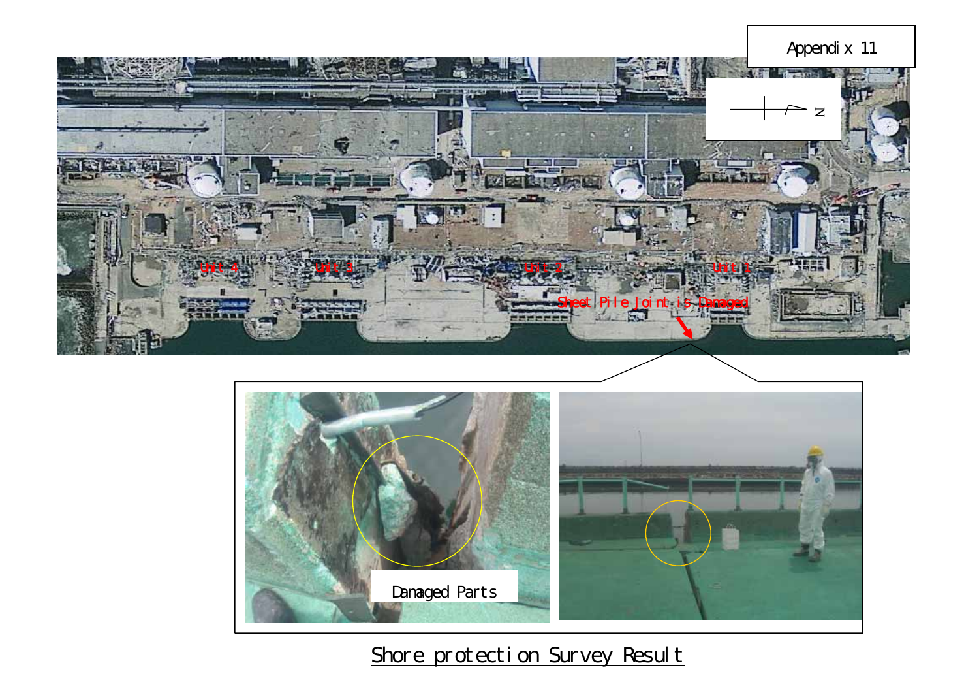



## Shore protection Survey Result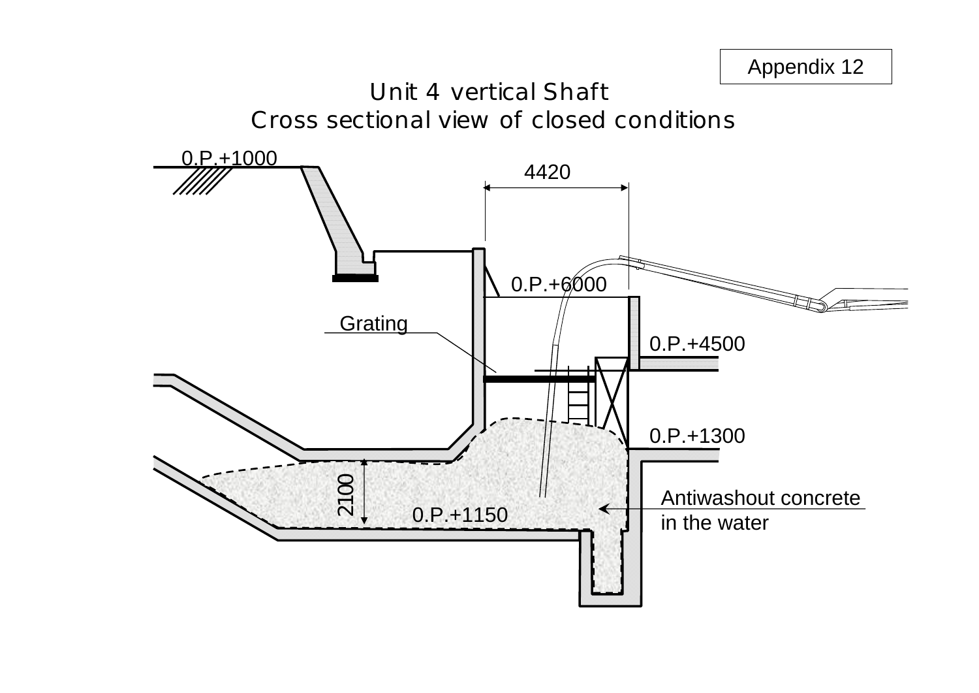

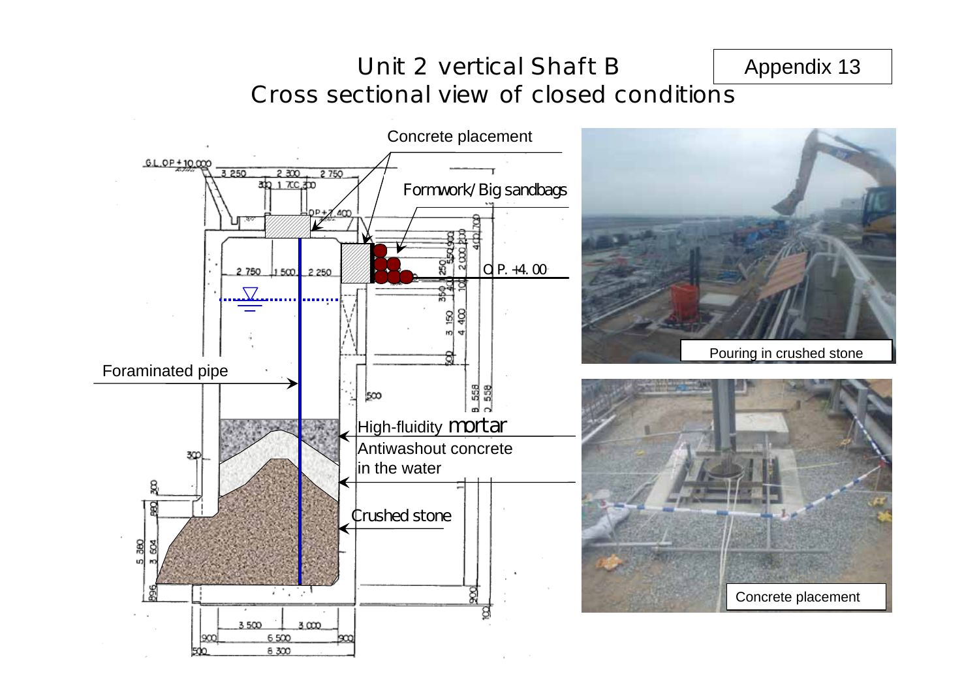## Unit 2 vertical Shaft BCross sectional view of closed conditions Appendix 13

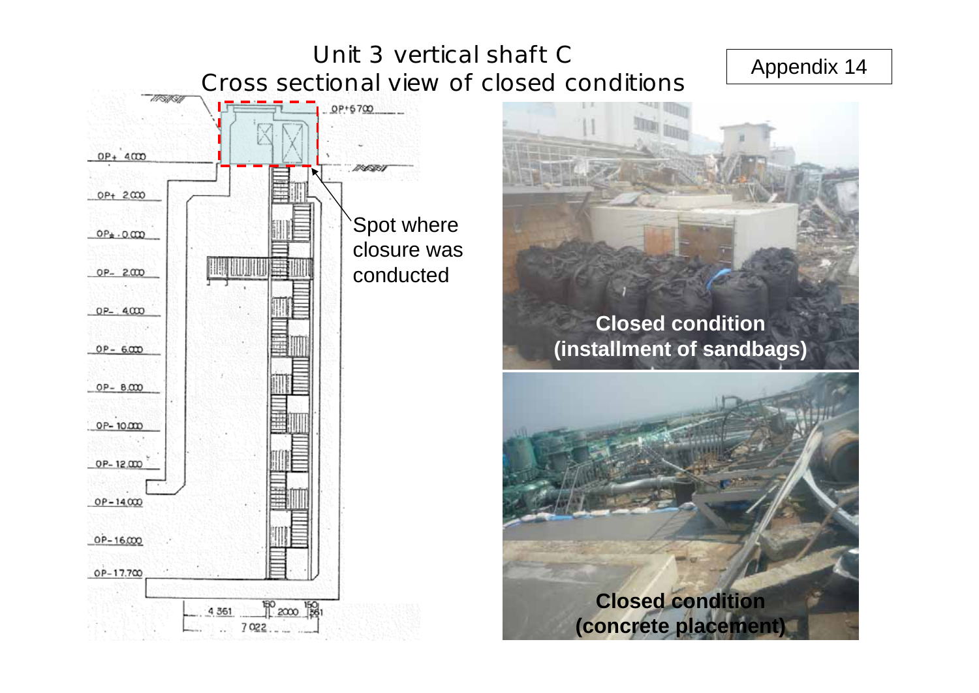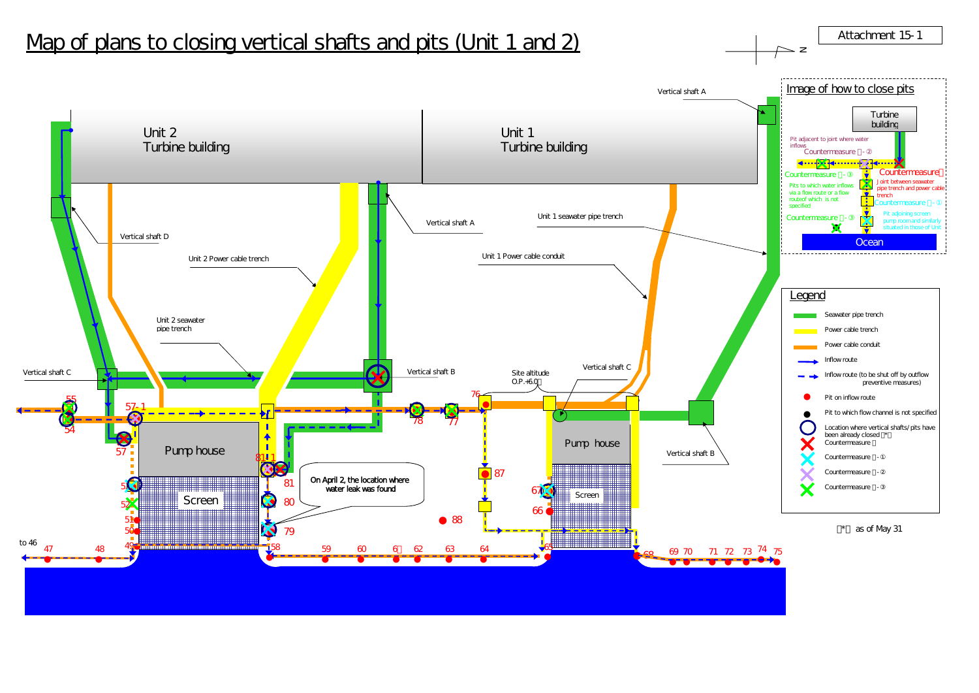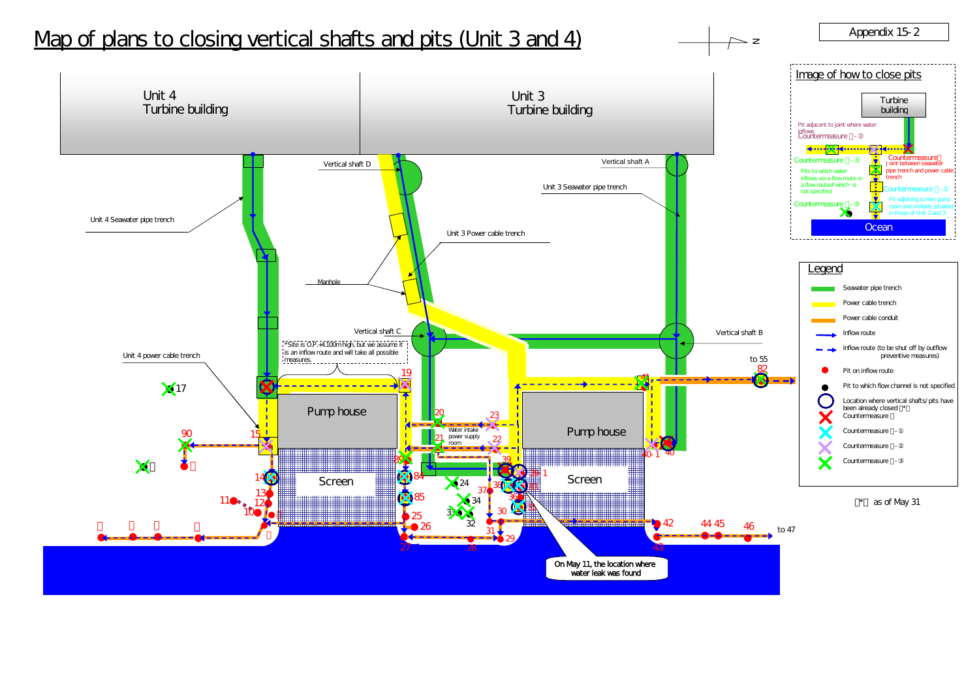# Map of plans to closing vertical shafts and pits (Unit 3 and 4)  $\longrightarrow$   $\longrightarrow$   $\longrightarrow$   $\longrightarrow$  Appendix 15-2





 $\triangleright$  z

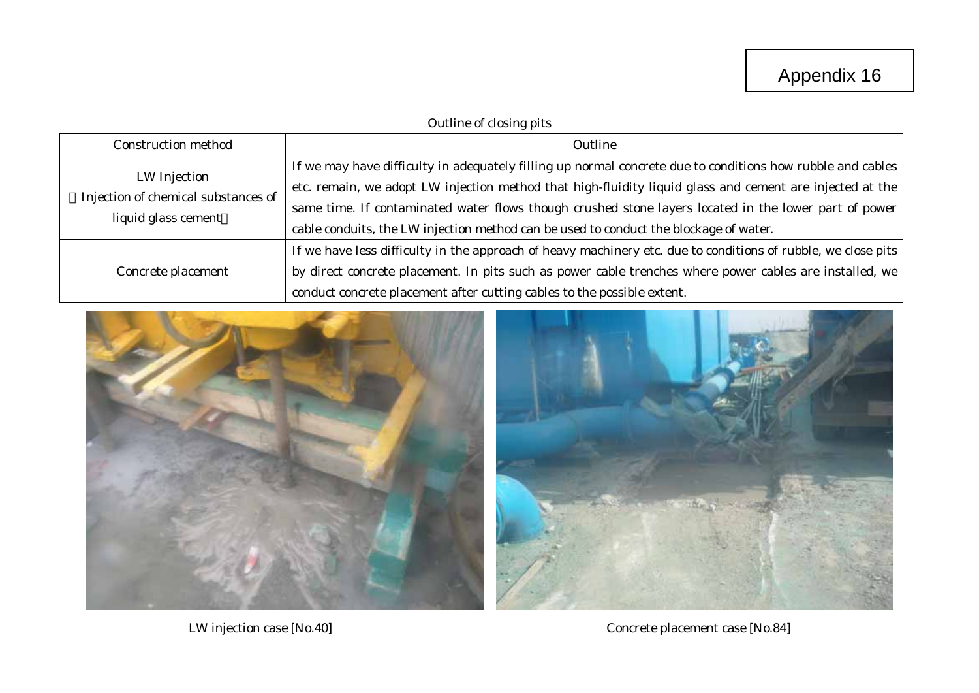## Outline of closing pits

| <b>Construction method</b>                                                 | Outline                                                                                                                                                                                                                                                                                                                                                                                                                  |
|----------------------------------------------------------------------------|--------------------------------------------------------------------------------------------------------------------------------------------------------------------------------------------------------------------------------------------------------------------------------------------------------------------------------------------------------------------------------------------------------------------------|
| LW Injection<br>Injection of chemical substances of<br>liquid glass cement | If we may have difficulty in adequately filling up normal concrete due to conditions how rubble and cables<br>etc. remain, we adopt LW injection method that high-fluidity liquid glass and cement are injected at the<br>same time. If contaminated water flows though crushed stone layers located in the lower part of power<br>cable conduits, the LW injection method can be used to conduct the blockage of water. |
| Concrete placement                                                         | If we have less difficulty in the approach of heavy machinery etc. due to conditions of rubble, we close pits<br>by direct concrete placement. In pits such as power cable trenches where power cables are installed, we  <br>conduct concrete placement after cutting cables to the possible extent.                                                                                                                    |



LW injection case [No.40] Concrete placement case [No.84]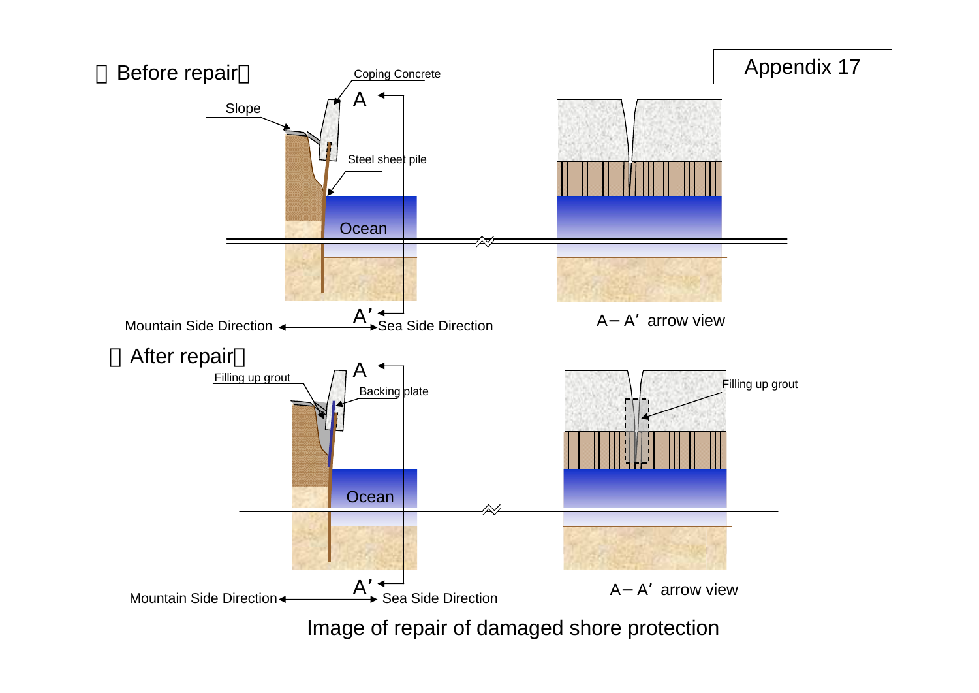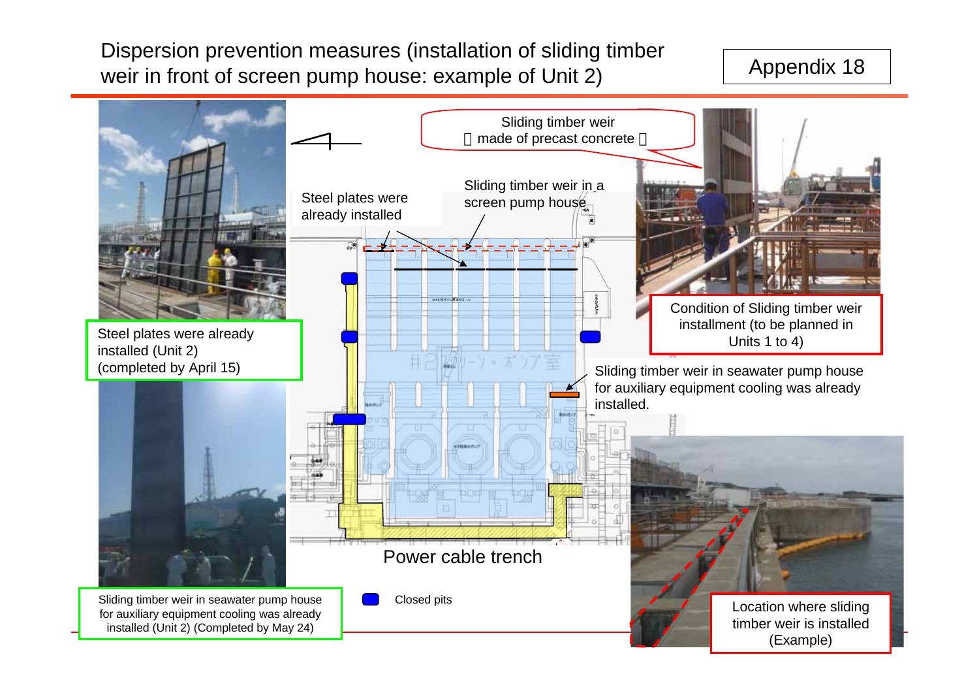Dispersion prevention measures (installation of sliding timber weir in front of screen pump house: example of Unit 2)

## Appendix 18